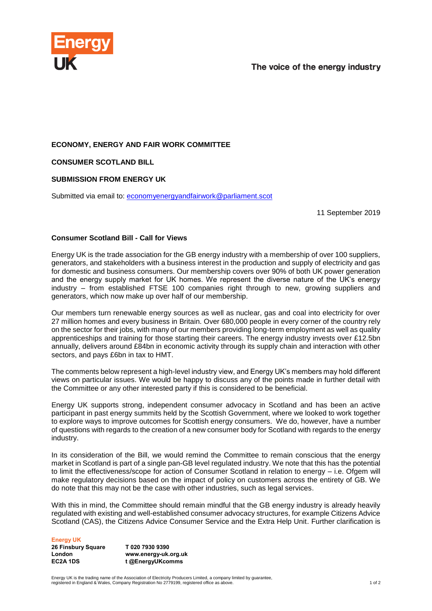



## **ECONOMY, ENERGY AND FAIR WORK COMMITTEE**

**CONSUMER SCOTLAND BILL**

## **SUBMISSION FROM ENERGY UK**

Submitted via email to: economyenergyandfairwork@parliament.scot

11 September 2019

## **Consumer Scotland Bill - Call for Views**

Energy UK is the trade association for the GB energy industry with a membership of over 100 suppliers, generators, and stakeholders with a business interest in the production and supply of electricity and gas for domestic and business consumers. Our membership covers over 90% of both UK power generation and the energy supply market for UK homes. We represent the diverse nature of the UK's energy industry – from established FTSE 100 companies right through to new, growing suppliers and generators, which now make up over half of our membership.

Our members turn renewable energy sources as well as nuclear, gas and coal into electricity for over 27 million homes and every business in Britain. Over 680,000 people in every corner of the country rely on the sector for their jobs, with many of our members providing long-term employment as well as quality apprenticeships and training for those starting their careers. The energy industry invests over £12.5bn annually, delivers around £84bn in economic activity through its supply chain and interaction with other sectors, and pays £6bn in tax to HMT.

The comments below represent a high-level industry view, and Energy UK's members may hold different views on particular issues. We would be happy to discuss any of the points made in further detail with the Committee or any other interested party if this is considered to be beneficial.

Energy UK supports strong, independent consumer advocacy in Scotland and has been an active participant in past energy summits held by the Scottish Government, where we looked to work together to explore ways to improve outcomes for Scottish energy consumers. We do, however, have a number of questions with regards to the creation of a new consumer body for Scotland with regards to the energy industry.

In its consideration of the Bill, we would remind the Committee to remain conscious that the energy market in Scotland is part of a single pan-GB level regulated industry. We note that this has the potential to limit the effectiveness/scope for action of Consumer Scotland in relation to energy – i.e. Ofgem will make regulatory decisions based on the impact of policy on customers across the entirety of GB. We do note that this may not be the case with other industries, such as legal services.

With this in mind, the Committee should remain mindful that the GB energy industry is already heavily regulated with existing and well-established consumer advocacy structures, for example Citizens Advice Scotland (CAS), the Citizens Advice Consumer Service and the Extra Help Unit. Further clarification is

## **Energy UK**

**26 Finsbury Square London EC2A 1DS**

**T 020 7930 9390 www.energy-uk.org.uk t @EnergyUKcomms**

Energy UK is the trading name of the Association of Electricity Producers Limited, a company limited by guarantee,<br>registered in England & Wales, Company Registration No 2779199, registered office as above.